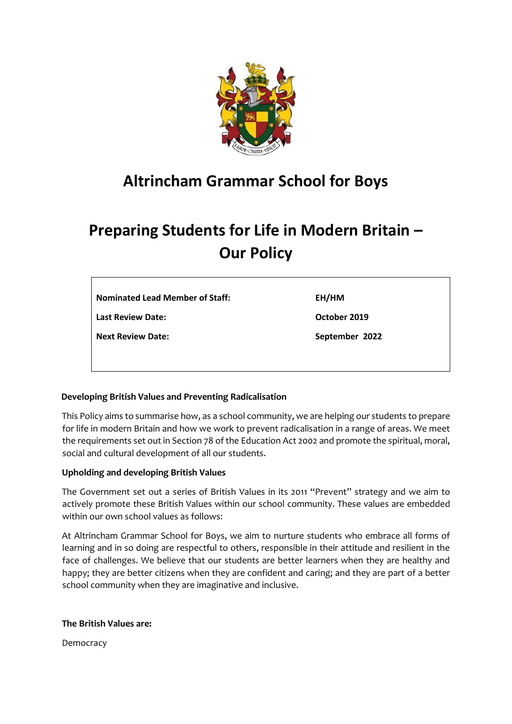

## **Altrincham Grammar School for Boys**

# **Preparing Students for Life in Modern Britain – Our Policy**

| <b>Nominated Lead Member of Staff:</b> | EH/HM          |
|----------------------------------------|----------------|
| <b>Last Review Date:</b>               | October 2019   |
| <b>Next Review Date:</b>               | September 2022 |

#### **Developing British Values and Preventing Radicalisation**

This Policy aims to summarise how, as a school community, we are helping our students to prepare for life in modern Britain and how we work to prevent radicalisation in a range of areas. We meet the requirements set out in Section 78 of the Education Act 2002 and promote the spiritual, moral, social and cultural development of all our students.

#### **Upholding and developing British Values**

The Government set out a series of British Values in its 2011 "Prevent" strategy and we aim to actively promote these British Values within our school community. These values are embedded within our own school values as follows:

At Altrincham Grammar School for Boys, we aim to nurture students who embrace all forms of learning and in so doing are respectful to others, responsible in their attitude and resilient in the face of challenges. We believe that our students are better learners when they are healthy and happy; they are better citizens when they are confident and caring; and they are part of a better school community when they are imaginative and inclusive.

#### **The British Values are:**

Democracy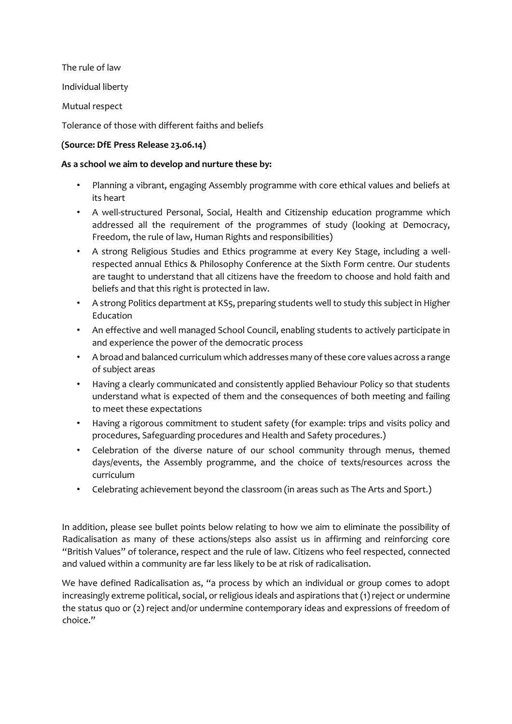The rule of law

Individual liberty

Mutual respect

Tolerance of those with different faiths and beliefs

### **(Source: DfE Press Release 23.06.14)**

#### **As a school we aim to develop and nurture these by:**

- Planning a vibrant, engaging Assembly programme with core ethical values and beliefs at its heart
- A well-structured Personal, Social, Health and Citizenship education programme which addressed all the requirement of the programmes of study (looking at Democracy, Freedom, the rule of law, Human Rights and responsibilities)
- A strong Religious Studies and Ethics programme at every Key Stage, including a wellrespected annual Ethics & Philosophy Conference at the Sixth Form centre. Our students are taught to understand that all citizens have the freedom to choose and hold faith and beliefs and that this right is protected in law.
- A strong Politics department at KS5, preparing students well to study this subject in Higher Education
- An effective and well managed School Council, enabling students to actively participate in and experience the power of the democratic process
- A broad and balanced curriculum which addresses many of these core values across a range of subject areas
- Having a clearly communicated and consistently applied Behaviour Policy so that students understand what is expected of them and the consequences of both meeting and failing to meet these expectations
- Having a rigorous commitment to student safety (for example: trips and visits policy and procedures, Safeguarding procedures and Health and Safety procedures.)
- Celebration of the diverse nature of our school community through menus, themed days/events, the Assembly programme, and the choice of texts/resources across the curriculum
- Celebrating achievement beyond the classroom (in areas such as The Arts and Sport.)

In addition, please see bullet points below relating to how we aim to eliminate the possibility of Radicalisation as many of these actions/steps also assist us in affirming and reinforcing core "British Values" of tolerance, respect and the rule of law. Citizens who feel respected, connected and valued within a community are far less likely to be at risk of radicalisation.

We have defined Radicalisation as, "a process by which an individual or group comes to adopt increasingly extreme political, social, or religious ideals and aspirations that (1) reject or undermine the status quo or (2) reject and/or undermine contemporary ideas and expressions of freedom of choice."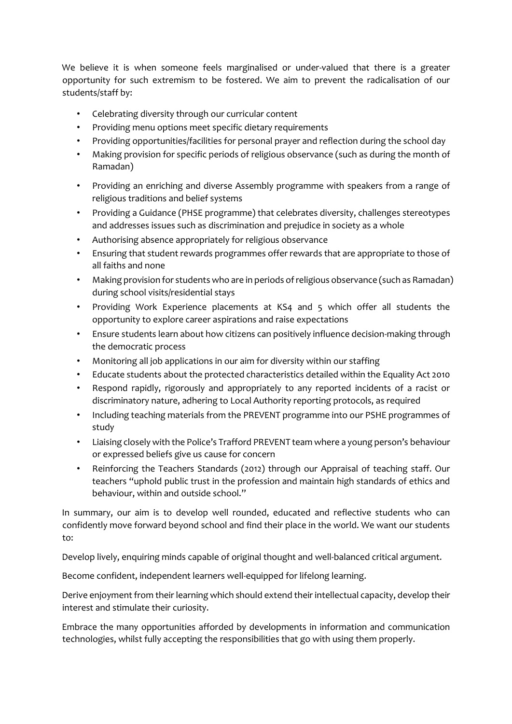We believe it is when someone feels marginalised or under-valued that there is a greater opportunity for such extremism to be fostered. We aim to prevent the radicalisation of our students/staff by:

- Celebrating diversity through our curricular content
- Providing menu options meet specific dietary requirements
- Providing opportunities/facilities for personal prayer and reflection during the school day
- Making provision for specific periods of religious observance (such as during the month of Ramadan)
- Providing an enriching and diverse Assembly programme with speakers from a range of religious traditions and belief systems
- Providing a Guidance (PHSE programme) that celebrates diversity, challenges stereotypes and addresses issues such as discrimination and prejudice in society as a whole
- Authorising absence appropriately for religious observance
- Ensuring that student rewards programmes offer rewards that are appropriate to those of all faiths and none
- Making provision for students who are in periods of religious observance (such as Ramadan) during school visits/residential stays
- Providing Work Experience placements at KS4 and 5 which offer all students the opportunity to explore career aspirations and raise expectations
- Ensure students learn about how citizens can positively influence decision-making through the democratic process
- Monitoring all job applications in our aim for diversity within our staffing
- Educate students about the protected characteristics detailed within the Equality Act 2010
- Respond rapidly, rigorously and appropriately to any reported incidents of a racist or discriminatory nature, adhering to Local Authority reporting protocols, as required
- Including teaching materials from the PREVENT programme into our PSHE programmes of study
- Liaising closely with the Police's Trafford PREVENT team where a young person's behaviour or expressed beliefs give us cause for concern
- Reinforcing the Teachers Standards (2012) through our Appraisal of teaching staff. Our teachers "uphold public trust in the profession and maintain high standards of ethics and behaviour, within and outside school."

In summary, our aim is to develop well rounded, educated and reflective students who can confidently move forward beyond school and find their place in the world. We want our students to:

Develop lively, enquiring minds capable of original thought and well-balanced critical argument.

Become confident, independent learners well-equipped for lifelong learning.

Derive enjoyment from their learning which should extend their intellectual capacity, develop their interest and stimulate their curiosity.

Embrace the many opportunities afforded by developments in information and communication technologies, whilst fully accepting the responsibilities that go with using them properly.